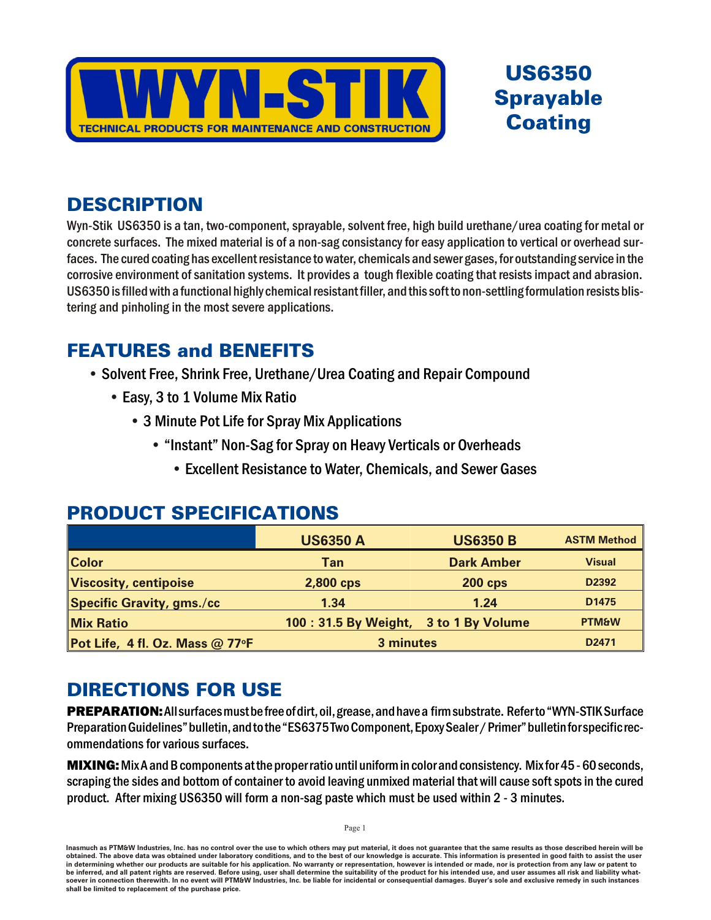

# **US6350 Sprayable Coating**

# **DESCRIPTION**

Wyn-Stik US6350 is a tan, two-component, sprayable, solvent free, high build urethane/urea coating for metal or concrete surfaces. The mixed material is of a non-sag consistancy for easy application to vertical or overhead surfaces. The cured coating has excellent resistance to water, chemicals and sewer gases, for outstanding service in the corrosive environment of sanitation systems. It provides a tough flexible coating that resists impact and abrasion. US6350 is filled with a functional highly chemical resistant filler, and this soft to non-settling formulation resists blistering and pinholing in the most severe applications.

## **FEATURES and BENEFITS**

- Solvent Free, Shrink Free, Urethane/Urea Coating and Repair Compound
	- Easy, 3 to 1 Volume Mix Ratio
		- 3 Minute Pot Life for Spray Mix Applications
			- "Instant" Non-Sag for Spray on Heavy Verticals or Overheads
				- Excellent Resistance to Water, Chemicals, and Sewer Gases

# **PRODUCT SPECIFICATIONS**

|                                         | <b>US6350 A</b>                       | <b>US6350 B</b>   | <b>ASTM Method</b> |
|-----------------------------------------|---------------------------------------|-------------------|--------------------|
| <b>Color</b>                            | Tan                                   | <b>Dark Amber</b> | <b>Visual</b>      |
| Viscosity, centipoise                   | 2,800 cps                             | <b>200 cps</b>    | D2392              |
| <b>Specific Gravity, gms./cc</b>        | 1.34                                  | 1.24              | D <sub>1475</sub>  |
| <b>Mix Ratio</b>                        | 100: 31.5 By Weight, 3 to 1 By Volume |                   | <b>PTM&amp;W</b>   |
| Pot Life, 4 fl. Oz. Mass @ 77 $\circ$ F | 3 minutes                             |                   | D2471              |

# **DIRECTIONS FOR USE**

**PREPARATION:** All surfaces must be free of dirt, oil, grease, and have a firm substrate. Refer to "WYN-STIK Surface Preparation Guidelines" bulletin, and to the "ES6375 Two Component, Epoxy Sealer / Primer" bulletin for specific recommendations for various surfaces.

MIXING: Mix A and B components at the proper ratio until uniform in color and consistency. Mix for 45 - 60 seconds, scraping the sides and bottom of container to avoid leaving unmixed material that will cause soft spots in the cured product. After mixing US6350 will form a non-sag paste which must be used within 2 - 3 minutes.

Page 1

Inasmuch as PTM&W Industries, Inc. has no control over the use to which others may put material, it does not guarantee that the same results as those described herein will be obtained. The above data was obtained under laboratory conditions, and to the best of our knowledge is accurate. This information is presented in good faith to assist the user in determining whether our products are suitable for his application. No warranty or representation, however is intended or made, nor is protection from any law or patent to be inferred, and all patent rights are reserved. Before using, user shall determine the suitability of the product for his intended use, and user assumes all risk and liability whatsoever in connection therewith. In no event will PTM&W Industries, Inc. be liable for incidental or consequential damages. Buyer's sole and exclusive remedy in such instances shall be limited to replacement of the purchase price.